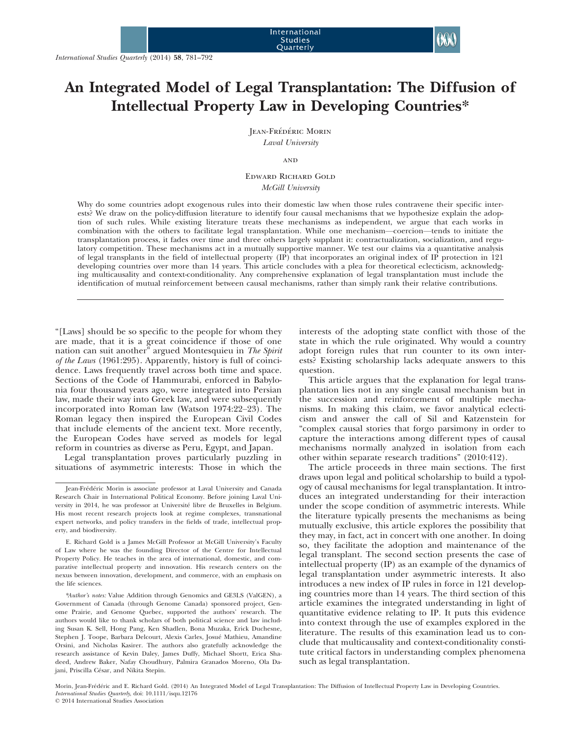# An Integrated Model of Legal Transplantation: The Diffusion of Intellectual Property Law in Developing Countries\*

JEAN-FRÉDÉRIC MORIN Laval University

**AND** 

Edward Richard Gold

McGill University

Why do some countries adopt exogenous rules into their domestic law when those rules contravene their specific interests? We draw on the policy-diffusion literature to identify four causal mechanisms that we hypothesize explain the adoption of such rules. While existing literature treats these mechanisms as independent, we argue that each works in combination with the others to facilitate legal transplantation. While one mechanism—coercion—tends to initiate the transplantation process, it fades over time and three others largely supplant it: contractualization, socialization, and regulatory competition. These mechanisms act in a mutually supportive manner. We test our claims via a quantitative analysis of legal transplants in the field of intellectual property (IP) that incorporates an original index of IP protection in 121 developing countries over more than 14 years. This article concludes with a plea for theoretical eclecticism, acknowledging multicausality and context-conditionality. Any comprehensive explanation of legal transplantation must include the identification of mutual reinforcement between causal mechanisms, rather than simply rank their relative contributions.

"[Laws] should be so specific to the people for whom they are made, that it is a great coincidence if those of one nation can suit another<sup>"</sup> argued Montesquieu in The Spirit of the Laws (1961:295). Apparently, history is full of coincidence. Laws frequently travel across both time and space. Sections of the Code of Hammurabi, enforced in Babylonia four thousand years ago, were integrated into Persian law, made their way into Greek law, and were subsequently incorporated into Roman law (Watson 1974:22–23). The Roman legacy then inspired the European Civil Codes that include elements of the ancient text. More recently, the European Codes have served as models for legal reform in countries as diverse as Peru, Egypt, and Japan.

Legal transplantation proves particularly puzzling in situations of asymmetric interests: Those in which the interests of the adopting state conflict with those of the state in which the rule originated. Why would a country adopt foreign rules that run counter to its own interests? Existing scholarship lacks adequate answers to this question.

This article argues that the explanation for legal transplantation lies not in any single causal mechanism but in the succession and reinforcement of multiple mechanisms. In making this claim, we favor analytical eclecticism and answer the call of Sil and Katzenstein for "complex causal stories that forgo parsimony in order to capture the interactions among different types of causal mechanisms normally analyzed in isolation from each other within separate research traditions" (2010:412).

The article proceeds in three main sections. The first draws upon legal and political scholarship to build a typology of causal mechanisms for legal transplantation. It introduces an integrated understanding for their interaction under the scope condition of asymmetric interests. While the literature typically presents the mechanisms as being mutually exclusive, this article explores the possibility that they may, in fact, act in concert with one another. In doing so, they facilitate the adoption and maintenance of the legal transplant. The second section presents the case of intellectual property (IP) as an example of the dynamics of legal transplantation under asymmetric interests. It also introduces a new index of IP rules in force in 121 developing countries more than 14 years. The third section of this article examines the integrated understanding in light of quantitative evidence relating to IP. It puts this evidence into context through the use of examples explored in the literature. The results of this examination lead us to conclude that multicausality and context-conditionality constitute critical factors in understanding complex phenomena such as legal transplantation.

Morin, Jean-Frederic and E. Richard Gold. (2014) An Integrated Model of Legal Transplantation: The Diffusion of Intellectual Property Law in Developing Countries. International Studies Quarterly, doi: 10.1111/isqu.12176 © 2014 International Studies Association

Jean-Frederic Morin is associate professor at Laval University and Canada Research Chair in International Political Economy. Before joining Laval University in 2014, he was professor at Universite libre de Bruxelles in Belgium. His most recent research projects look at regime complexes, transnational expert networks, and policy transfers in the fields of trade, intellectual property, and biodiversity.

E. Richard Gold is a James McGill Professor at McGill University's Faculty of Law where he was the founding Director of the Centre for Intellectual Property Policy. He teaches in the area of international, domestic, and comparative intellectual property and innovation. His research centers on the nexus between innovation, development, and commerce, with an emphasis on the life sciences.

<sup>\*</sup>Author's notes: Value Addition through Genomics and GE3LS (ValGEN), a Government of Canada (through Genome Canada) sponsored project, Genome Prairie, and Genome Quebec, supported the authors' research. The authors would like to thank scholars of both political science and law including Susan K. Sell, Hong Pang, Ken Shadlen, Bona Muzaka, Erick Duchesne, Stephen J. Toope, Barbara Delcourt, Alexis Carles, Josue Mathieu, Amandine Orsini, and Nicholas Kasirer. The authors also gratefully acknowledge the research assistance of Kevin Daley, James Duffy, Michael Shortt, Erica Shadeed, Andrew Baker, Nafay Choudhury, Palmira Granados Moreno, Ola Dajani, Priscilla César, and Nikita Stepin.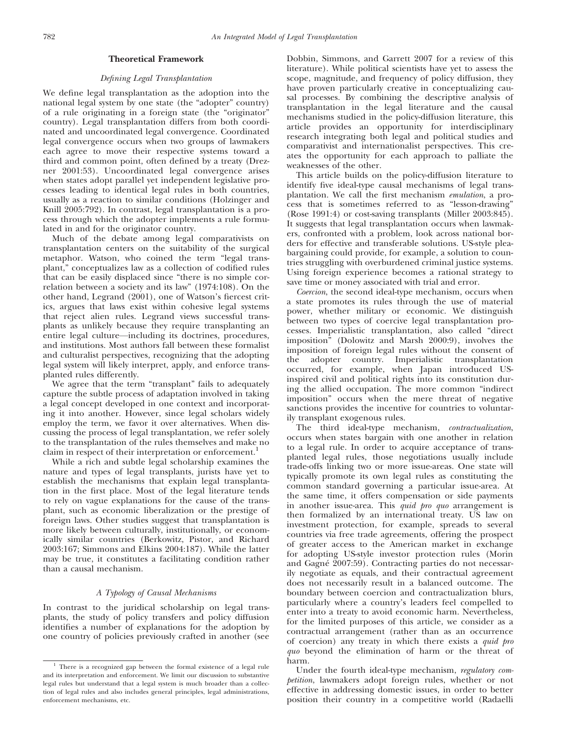#### Theoretical Framework

## Defining Legal Transplantation

We define legal transplantation as the adoption into the national legal system by one state (the "adopter" country) of a rule originating in a foreign state (the "originator" country). Legal transplantation differs from both coordinated and uncoordinated legal convergence. Coordinated legal convergence occurs when two groups of lawmakers each agree to move their respective systems toward a third and common point, often defined by a treaty (Drezner 2001:53). Uncoordinated legal convergence arises when states adopt parallel yet independent legislative processes leading to identical legal rules in both countries, usually as a reaction to similar conditions (Holzinger and Knill 2005:792). In contrast, legal transplantation is a process through which the adopter implements a rule formulated in and for the originator country.

Much of the debate among legal comparativists on transplantation centers on the suitability of the surgical metaphor. Watson, who coined the term "legal transplant," conceptualizes law as a collection of codified rules that can be easily displaced since "there is no simple correlation between a society and its law" (1974:108). On the other hand, Legrand (2001), one of Watson's fiercest critics, argues that laws exist within cohesive legal systems that reject alien rules. Legrand views successful transplants as unlikely because they require transplanting an entire legal culture—including its doctrines, procedures, and institutions. Most authors fall between these formalist and culturalist perspectives, recognizing that the adopting legal system will likely interpret, apply, and enforce transplanted rules differently.

We agree that the term "transplant" fails to adequately capture the subtle process of adaptation involved in taking a legal concept developed in one context and incorporating it into another. However, since legal scholars widely employ the term, we favor it over alternatives. When discussing the process of legal transplantation, we refer solely to the transplantation of the rules themselves and make no claim in respect of their interpretation or enforcement.<sup>1</sup>

While a rich and subtle legal scholarship examines the nature and types of legal transplants, jurists have yet to establish the mechanisms that explain legal transplantation in the first place. Most of the legal literature tends to rely on vague explanations for the cause of the transplant, such as economic liberalization or the prestige of foreign laws. Other studies suggest that transplantation is more likely between culturally, institutionally, or economically similar countries (Berkowitz, Pistor, and Richard 2003:167; Simmons and Elkins 2004:187). While the latter may be true, it constitutes a facilitating condition rather than a causal mechanism.

#### A Typology of Causal Mechanisms

In contrast to the juridical scholarship on legal transplants, the study of policy transfers and policy diffusion identifies a number of explanations for the adoption by one country of policies previously crafted in another (see Dobbin, Simmons, and Garrett 2007 for a review of this literature). While political scientists have yet to assess the scope, magnitude, and frequency of policy diffusion, they have proven particularly creative in conceptualizing causal processes. By combining the descriptive analysis of transplantation in the legal literature and the causal mechanisms studied in the policy-diffusion literature, this article provides an opportunity for interdisciplinary research integrating both legal and political studies and comparativist and internationalist perspectives. This creates the opportunity for each approach to palliate the weaknesses of the other.

This article builds on the policy-diffusion literature to identify five ideal-type causal mechanisms of legal transplantation. We call the first mechanism emulation, a process that is sometimes referred to as "lesson-drawing" (Rose 1991:4) or cost-saving transplants (Miller 2003:845). It suggests that legal transplantation occurs when lawmakers, confronted with a problem, look across national borders for effective and transferable solutions. US-style pleabargaining could provide, for example, a solution to countries struggling with overburdened criminal justice systems. Using foreign experience becomes a rational strategy to save time or money associated with trial and error.

Coercion, the second ideal-type mechanism, occurs when a state promotes its rules through the use of material power, whether military or economic. We distinguish between two types of coercive legal transplantation processes. Imperialistic transplantation, also called "direct imposition" (Dolowitz and Marsh 2000:9), involves the imposition of foreign legal rules without the consent of the adopter country. Imperialistic transplantation occurred, for example, when Japan introduced USinspired civil and political rights into its constitution during the allied occupation. The more common "indirect imposition" occurs when the mere threat of negative sanctions provides the incentive for countries to voluntarily transplant exogenous rules.

The third ideal-type mechanism, contractualization, occurs when states bargain with one another in relation to a legal rule. In order to acquire acceptance of transplanted legal rules, those negotiations usually include trade-offs linking two or more issue-areas. One state will typically promote its own legal rules as constituting the common standard governing a particular issue-area. At the same time, it offers compensation or side payments in another issue-area. This quid pro quo arrangement is then formalized by an international treaty. US law on investment protection, for example, spreads to several countries via free trade agreements, offering the prospect of greater access to the American market in exchange for adopting US-style investor protection rules (Morin and Gagné 2007:59). Contracting parties do not necessarily negotiate as equals, and their contractual agreement does not necessarily result in a balanced outcome. The boundary between coercion and contractualization blurs, particularly where a country's leaders feel compelled to enter into a treaty to avoid economic harm. Nevertheless, for the limited purposes of this article, we consider as a contractual arrangement (rather than as an occurrence of coercion) any treaty in which there exists a quid pro quo beyond the elimination of harm or the threat of harm.

Under the fourth ideal-type mechanism, regulatory competition, lawmakers adopt foreign rules, whether or not effective in addressing domestic issues, in order to better position their country in a competitive world (Radaelli

 $1$  There is a recognized gap between the formal existence of a legal rule and its interpretation and enforcement. We limit our discussion to substantive legal rules but understand that a legal system is much broader than a collection of legal rules and also includes general principles, legal administrations, enforcement mechanisms, etc.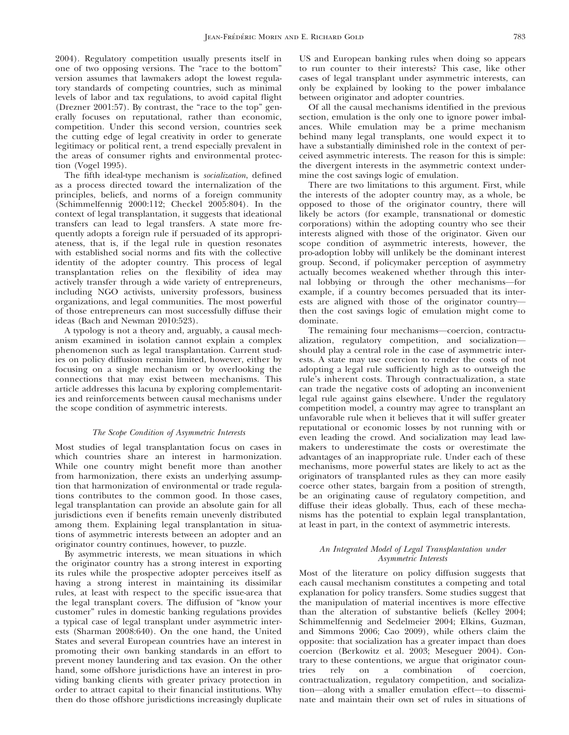2004). Regulatory competition usually presents itself in one of two opposing versions. The "race to the bottom" version assumes that lawmakers adopt the lowest regulatory standards of competing countries, such as minimal levels of labor and tax regulations, to avoid capital flight (Drezner 2001:57). By contrast, the "race to the top" generally focuses on reputational, rather than economic, competition. Under this second version, countries seek the cutting edge of legal creativity in order to generate legitimacy or political rent, a trend especially prevalent in the areas of consumer rights and environmental protection (Vogel 1995).

The fifth ideal-type mechanism is socialization, defined as a process directed toward the internalization of the principles, beliefs, and norms of a foreign community (Schimmelfennig 2000:112; Checkel 2005:804). In the context of legal transplantation, it suggests that ideational transfers can lead to legal transfers. A state more frequently adopts a foreign rule if persuaded of its appropriateness, that is, if the legal rule in question resonates with established social norms and fits with the collective identity of the adopter country. This process of legal transplantation relies on the flexibility of idea may actively transfer through a wide variety of entrepreneurs, including NGO activists, university professors, business organizations, and legal communities. The most powerful of those entrepreneurs can most successfully diffuse their ideas (Bach and Newman 2010:523).

A typology is not a theory and, arguably, a causal mechanism examined in isolation cannot explain a complex phenomenon such as legal transplantation. Current studies on policy diffusion remain limited, however, either by focusing on a single mechanism or by overlooking the connections that may exist between mechanisms. This article addresses this lacuna by exploring complementarities and reinforcements between causal mechanisms under the scope condition of asymmetric interests.

#### The Scope Condition of Asymmetric Interests

Most studies of legal transplantation focus on cases in which countries share an interest in harmonization. While one country might benefit more than another from harmonization, there exists an underlying assumption that harmonization of environmental or trade regulations contributes to the common good. In those cases, legal transplantation can provide an absolute gain for all jurisdictions even if benefits remain unevenly distributed among them. Explaining legal transplantation in situations of asymmetric interests between an adopter and an originator country continues, however, to puzzle.

By asymmetric interests, we mean situations in which the originator country has a strong interest in exporting its rules while the prospective adopter perceives itself as having a strong interest in maintaining its dissimilar rules, at least with respect to the specific issue-area that the legal transplant covers. The diffusion of "know your customer" rules in domestic banking regulations provides a typical case of legal transplant under asymmetric interests (Sharman 2008:640). On the one hand, the United States and several European countries have an interest in promoting their own banking standards in an effort to prevent money laundering and tax evasion. On the other hand, some offshore jurisdictions have an interest in providing banking clients with greater privacy protection in order to attract capital to their financial institutions. Why then do those offshore jurisdictions increasingly duplicate US and European banking rules when doing so appears to run counter to their interests? This case, like other cases of legal transplant under asymmetric interests, can only be explained by looking to the power imbalance between originator and adopter countries.

Of all the causal mechanisms identified in the previous section, emulation is the only one to ignore power imbalances. While emulation may be a prime mechanism behind many legal transplants, one would expect it to have a substantially diminished role in the context of perceived asymmetric interests. The reason for this is simple: the divergent interests in the asymmetric context undermine the cost savings logic of emulation.

There are two limitations to this argument. First, while the interests of the adopter country may, as a whole, be opposed to those of the originator country, there will likely be actors (for example, transnational or domestic corporations) within the adopting country who see their interests aligned with those of the originator. Given our scope condition of asymmetric interests, however, the pro-adoption lobby will unlikely be the dominant interest group. Second, if policymaker perception of asymmetry actually becomes weakened whether through this internal lobbying or through the other mechanisms—for example, if a country becomes persuaded that its interests are aligned with those of the originator country then the cost savings logic of emulation might come to dominate.

The remaining four mechanisms—coercion, contractualization, regulatory competition, and socialization should play a central role in the case of asymmetric interests. A state may use coercion to render the costs of not adopting a legal rule sufficiently high as to outweigh the rule's inherent costs. Through contractualization, a state can trade the negative costs of adopting an inconvenient legal rule against gains elsewhere. Under the regulatory competition model, a country may agree to transplant an unfavorable rule when it believes that it will suffer greater reputational or economic losses by not running with or even leading the crowd. And socialization may lead lawmakers to underestimate the costs or overestimate the advantages of an inappropriate rule. Under each of these mechanisms, more powerful states are likely to act as the originators of transplanted rules as they can more easily coerce other states, bargain from a position of strength, be an originating cause of regulatory competition, and diffuse their ideas globally. Thus, each of these mechanisms has the potential to explain legal transplantation, at least in part, in the context of asymmetric interests.

## An Integrated Model of Legal Transplantation under Asymmetric Interests

Most of the literature on policy diffusion suggests that each causal mechanism constitutes a competing and total explanation for policy transfers. Some studies suggest that the manipulation of material incentives is more effective than the alteration of substantive beliefs (Kelley 2004; Schimmelfennig and Sedelmeier 2004; Elkins, Guzman, and Simmons 2006; Cao 2009), while others claim the opposite: that socialization has a greater impact than does coercion (Berkowitz et al. 2003; Meseguer 2004). Contrary to these contentions, we argue that originator countries rely on a combination of coercion, contractualization, regulatory competition, and socialization—along with a smaller emulation effect—to disseminate and maintain their own set of rules in situations of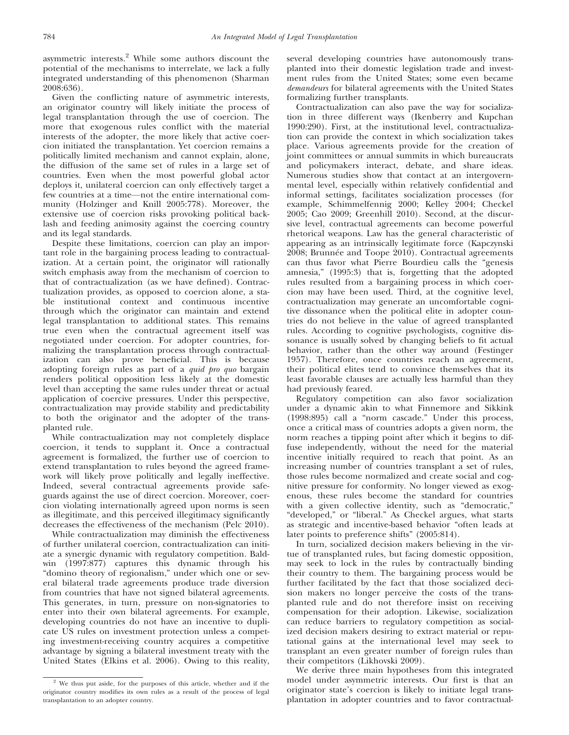asymmetric interests.<sup>2</sup> While some authors discount the potential of the mechanisms to interrelate, we lack a fully integrated understanding of this phenomenon (Sharman 2008:636).

Given the conflicting nature of asymmetric interests, an originator country will likely initiate the process of legal transplantation through the use of coercion. The more that exogenous rules conflict with the material interests of the adopter, the more likely that active coercion initiated the transplantation. Yet coercion remains a politically limited mechanism and cannot explain, alone, the diffusion of the same set of rules in a large set of countries. Even when the most powerful global actor deploys it, unilateral coercion can only effectively target a few countries at a time—not the entire international community (Holzinger and Knill 2005:778). Moreover, the extensive use of coercion risks provoking political backlash and feeding animosity against the coercing country and its legal standards.

Despite these limitations, coercion can play an important role in the bargaining process leading to contractualization. At a certain point, the originator will rationally switch emphasis away from the mechanism of coercion to that of contractualization (as we have defined). Contractualization provides, as opposed to coercion alone, a stable institutional context and continuous incentive through which the originator can maintain and extend legal transplantation to additional states. This remains true even when the contractual agreement itself was negotiated under coercion. For adopter countries, formalizing the transplantation process through contractualization can also prove beneficial. This is because adopting foreign rules as part of a quid pro quo bargain renders political opposition less likely at the domestic level than accepting the same rules under threat or actual application of coercive pressures. Under this perspective, contractualization may provide stability and predictability to both the originator and the adopter of the transplanted rule.

While contractualization may not completely displace coercion, it tends to supplant it. Once a contractual agreement is formalized, the further use of coercion to extend transplantation to rules beyond the agreed framework will likely prove politically and legally ineffective. Indeed, several contractual agreements provide safeguards against the use of direct coercion. Moreover, coercion violating internationally agreed upon norms is seen as illegitimate, and this perceived illegitimacy significantly decreases the effectiveness of the mechanism (Pelc 2010).

While contractualization may diminish the effectiveness of further unilateral coercion, contractualization can initiate a synergic dynamic with regulatory competition. Baldwin (1997:877) captures this dynamic through his "domino theory of regionalism," under which one or several bilateral trade agreements produce trade diversion from countries that have not signed bilateral agreements. This generates, in turn, pressure on non-signatories to enter into their own bilateral agreements. For example, developing countries do not have an incentive to duplicate US rules on investment protection unless a competing investment-receiving country acquires a competitive advantage by signing a bilateral investment treaty with the United States (Elkins et al. 2006). Owing to this reality, several developing countries have autonomously transplanted into their domestic legislation trade and investment rules from the United States; some even became demandeurs for bilateral agreements with the United States formalizing further transplants.

Contractualization can also pave the way for socialization in three different ways (Ikenberry and Kupchan 1990:290). First, at the institutional level, contractualization can provide the context in which socialization takes place. Various agreements provide for the creation of joint committees or annual summits in which bureaucrats and policymakers interact, debate, and share ideas. Numerous studies show that contact at an intergovernmental level, especially within relatively confidential and informal settings, facilitates socialization processes (for example, Schimmelfennig 2000; Kelley 2004; Checkel 2005; Cao 2009; Greenhill 2010). Second, at the discursive level, contractual agreements can become powerful rhetorical weapons. Law has the general characteristic of appearing as an intrinsically legitimate force (Kapczynski 2008; Brunnée and Toope 2010). Contractual agreements can thus favor what Pierre Bourdieu calls the "genesis amnesia," (1995:3) that is, forgetting that the adopted rules resulted from a bargaining process in which coercion may have been used. Third, at the cognitive level, contractualization may generate an uncomfortable cognitive dissonance when the political elite in adopter countries do not believe in the value of agreed transplanted rules. According to cognitive psychologists, cognitive dissonance is usually solved by changing beliefs to fit actual behavior, rather than the other way around (Festinger 1957). Therefore, once countries reach an agreement, their political elites tend to convince themselves that its least favorable clauses are actually less harmful than they had previously feared.

Regulatory competition can also favor socialization under a dynamic akin to what Finnemore and Sikkink (1998:895) call a "norm cascade." Under this process, once a critical mass of countries adopts a given norm, the norm reaches a tipping point after which it begins to diffuse independently, without the need for the material incentive initially required to reach that point. As an increasing number of countries transplant a set of rules, those rules become normalized and create social and cognitive pressure for conformity. No longer viewed as exogenous, these rules become the standard for countries with a given collective identity, such as "democratic," "developed," or "liberal." As Checkel argues, what starts as strategic and incentive-based behavior "often leads at later points to preference shifts" (2005:814).

In turn, socialized decision makers believing in the virtue of transplanted rules, but facing domestic opposition, may seek to lock in the rules by contractually binding their country to them. The bargaining process would be further facilitated by the fact that those socialized decision makers no longer perceive the costs of the transplanted rule and do not therefore insist on receiving compensation for their adoption. Likewise, socialization can reduce barriers to regulatory competition as socialized decision makers desiring to extract material or reputational gains at the international level may seek to transplant an even greater number of foreign rules than their competitors (Likhovski 2009).

We derive three main hypotheses from this integrated model under asymmetric interests. Our first is that an originator state's coercion is likely to initiate legal transplantation in adopter countries and to favor contractual-

<sup>&</sup>lt;sup>2</sup> We thus put aside, for the purposes of this article, whether and if the originator country modifies its own rules as a result of the process of legal transplantation to an adopter country.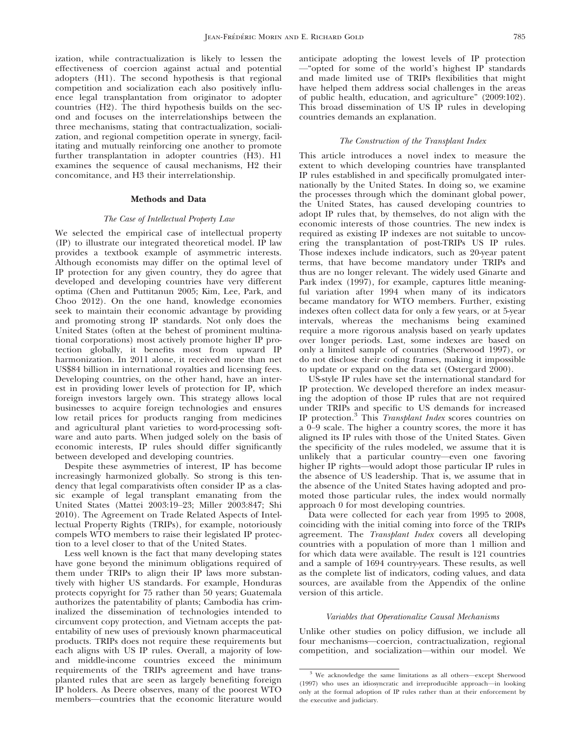ization, while contractualization is likely to lessen the effectiveness of coercion against actual and potential adopters (H1). The second hypothesis is that regional competition and socialization each also positively influence legal transplantation from originator to adopter countries (H2). The third hypothesis builds on the second and focuses on the interrelationships between the three mechanisms, stating that contractualization, socialization, and regional competition operate in synergy, facilitating and mutually reinforcing one another to promote further transplantation in adopter countries (H3). H1 examines the sequence of causal mechanisms, H2 their concomitance, and H3 their interrelationship.

#### Methods and Data

## The Case of Intellectual Property Law

We selected the empirical case of intellectual property (IP) to illustrate our integrated theoretical model. IP law provides a textbook example of asymmetric interests. Although economists may differ on the optimal level of IP protection for any given country, they do agree that developed and developing countries have very different optima (Chen and Puttitanun 2005; Kim, Lee, Park, and Choo 2012). On the one hand, knowledge economies seek to maintain their economic advantage by providing and promoting strong IP standards. Not only does the United States (often at the behest of prominent multinational corporations) most actively promote higher IP protection globally, it benefits most from upward IP harmonization. In 2011 alone, it received more than net US\$84 billion in international royalties and licensing fees. Developing countries, on the other hand, have an interest in providing lower levels of protection for IP, which foreign investors largely own. This strategy allows local businesses to acquire foreign technologies and ensures low retail prices for products ranging from medicines and agricultural plant varieties to word-processing software and auto parts. When judged solely on the basis of economic interests, IP rules should differ significantly between developed and developing countries.

Despite these asymmetries of interest, IP has become increasingly harmonized globally. So strong is this tendency that legal comparativists often consider IP as a classic example of legal transplant emanating from the United States (Mattei 2003:19–23; Miller 2003:847; Shi 2010). The Agreement on Trade Related Aspects of Intellectual Property Rights (TRIPs), for example, notoriously compels WTO members to raise their legislated IP protection to a level closer to that of the United States.

Less well known is the fact that many developing states have gone beyond the minimum obligations required of them under TRIPs to align their IP laws more substantively with higher US standards. For example, Honduras protects copyright for 75 rather than 50 years; Guatemala authorizes the patentability of plants; Cambodia has criminalized the dissemination of technologies intended to circumvent copy protection, and Vietnam accepts the patentability of new uses of previously known pharmaceutical products. TRIPs does not require these requirements but each aligns with US IP rules. Overall, a majority of lowand middle-income countries exceed the minimum requirements of the TRIPs agreement and have transplanted rules that are seen as largely benefiting foreign IP holders. As Deere observes, many of the poorest WTO members—countries that the economic literature would anticipate adopting the lowest levels of IP protection —"opted for some of the world's highest IP standards and made limited use of TRIPs flexibilities that might have helped them address social challenges in the areas of public health, education, and agriculture" (2009:102). This broad dissemination of US IP rules in developing countries demands an explanation.

#### The Construction of the Transplant Index

This article introduces a novel index to measure the extent to which developing countries have transplanted IP rules established in and specifically promulgated internationally by the United States. In doing so, we examine the processes through which the dominant global power, the United States, has caused developing countries to adopt IP rules that, by themselves, do not align with the economic interests of those countries. The new index is required as existing IP indexes are not suitable to uncovering the transplantation of post-TRIPs US IP rules. Those indexes include indicators, such as 20-year patent terms, that have become mandatory under TRIPs and thus are no longer relevant. The widely used Ginarte and Park index (1997), for example, captures little meaningful variation after 1994 when many of its indicators became mandatory for WTO members. Further, existing indexes often collect data for only a few years, or at 5-year intervals, whereas the mechanisms being examined require a more rigorous analysis based on yearly updates over longer periods. Last, some indexes are based on only a limited sample of countries (Sherwood 1997), or do not disclose their coding frames, making it impossible to update or expand on the data set (Ostergard 2000).

US-style IP rules have set the international standard for IP protection. We developed therefore an index measuring the adoption of those IP rules that are not required under TRIPs and specific to US demands for increased IP protection.<sup>3</sup> This *Transplant Index* scores countries on a 0–9 scale. The higher a country scores, the more it has aligned its IP rules with those of the United States. Given the specificity of the rules modeled, we assume that it is unlikely that a particular country—even one favoring higher IP rights—would adopt those particular IP rules in the absence of US leadership. That is, we assume that in the absence of the United States having adopted and promoted those particular rules, the index would normally approach 0 for most developing countries.

Data were collected for each year from 1995 to 2008, coinciding with the initial coming into force of the TRIPs agreement. The Transplant Index covers all developing countries with a population of more than 1 million and for which data were available. The result is 121 countries and a sample of 1694 country-years. These results, as well as the complete list of indicators, coding values, and data sources, are available from the Appendix of the online version of this article.

#### Variables that Operationalize Causal Mechanisms

Unlike other studies on policy diffusion, we include all four mechanisms—coercion, contractualization, regional competition, and socialization—within our model. We

 $^3$  We acknowledge the same limitations as all others—except Sherwood  $\,$ (1997) who uses an idiosyncratic and irreproducible approach—in looking only at the formal adoption of IP rules rather than at their enforcement by the executive and judiciary.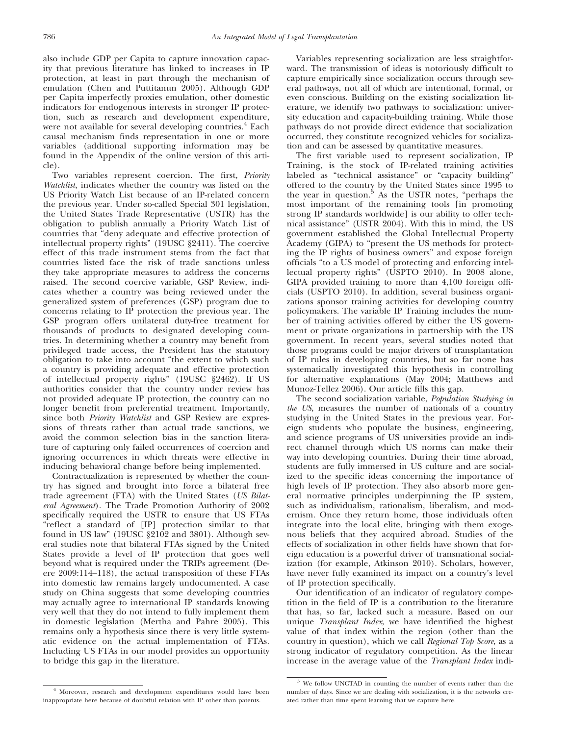also include GDP per Capita to capture innovation capacity that previous literature has linked to increases in IP protection, at least in part through the mechanism of emulation (Chen and Puttitanun 2005). Although GDP per Capita imperfectly proxies emulation, other domestic indicators for endogenous interests in stronger IP protection, such as research and development expenditure, were not available for several developing countries.<sup>4</sup> Each causal mechanism finds representation in one or more variables (additional supporting information may be found in the Appendix of the online version of this article).

Two variables represent coercion. The first, Priority Watchlist, indicates whether the country was listed on the US Priority Watch List because of an IP-related concern the previous year. Under so-called Special 301 legislation, the United States Trade Representative (USTR) has the obligation to publish annually a Priority Watch List of countries that "deny adequate and effective protection of intellectual property rights" (19USC §2411). The coercive effect of this trade instrument stems from the fact that countries listed face the risk of trade sanctions unless they take appropriate measures to address the concerns raised. The second coercive variable, GSP Review, indicates whether a country was being reviewed under the generalized system of preferences (GSP) program due to concerns relating to IP protection the previous year. The GSP program offers unilateral duty-free treatment for thousands of products to designated developing countries. In determining whether a country may benefit from privileged trade access, the President has the statutory obligation to take into account "the extent to which such a country is providing adequate and effective protection of intellectual property rights" (19USC §2462). If US authorities consider that the country under review has not provided adequate IP protection, the country can no longer benefit from preferential treatment. Importantly, since both *Priority Watchlist* and GSP Review are expressions of threats rather than actual trade sanctions, we avoid the common selection bias in the sanction literature of capturing only failed occurrences of coercion and ignoring occurrences in which threats were effective in inducing behavioral change before being implemented.

Contractualization is represented by whether the country has signed and brought into force a bilateral free trade agreement (FTA) with the United States (US Bilateral Agreement). The Trade Promotion Authority of 2002 specifically required the USTR to ensure that US FTAs "reflect a standard of [IP] protection similar to that found in US law" (19USC §2102 and 3801). Although several studies note that bilateral FTAs signed by the United States provide a level of IP protection that goes well beyond what is required under the TRIPs agreement (Deere 2009:114–118), the actual transposition of these FTAs into domestic law remains largely undocumented. A case study on China suggests that some developing countries may actually agree to international IP standards knowing very well that they do not intend to fully implement them in domestic legislation (Mertha and Pahre 2005). This remains only a hypothesis since there is very little systematic evidence on the actual implementation of FTAs. Including US FTAs in our model provides an opportunity to bridge this gap in the literature.

Variables representing socialization are less straightforward. The transmission of ideas is notoriously difficult to capture empirically since socialization occurs through several pathways, not all of which are intentional, formal, or even conscious. Building on the existing socialization literature, we identify two pathways to socialization: university education and capacity-building training. While those pathways do not provide direct evidence that socialization occurred, they constitute recognized vehicles for socialization and can be assessed by quantitative measures.

The first variable used to represent socialization, IP Training, is the stock of IP-related training activities labeled as "technical assistance" or "capacity building" offered to the country by the United States since 1995 to the year in question.<sup>5</sup> As the USTR notes, "perhaps the most important of the remaining tools [in promoting strong IP standards worldwide] is our ability to offer technical assistance" (USTR 2004). With this in mind, the US government established the Global Intellectual Property Academy (GIPA) to "present the US methods for protecting the IP rights of business owners" and expose foreign officials "to a US model of protecting and enforcing intellectual property rights" (USPTO 2010). In 2008 alone, GIPA provided training to more than 4,100 foreign officials (USPTO 2010). In addition, several business organizations sponsor training activities for developing country policymakers. The variable IP Training includes the number of training activities offered by either the US government or private organizations in partnership with the US government. In recent years, several studies noted that those programs could be major drivers of transplantation of IP rules in developing countries, but so far none has systematically investigated this hypothesis in controlling for alternative explanations (May 2004; Matthews and Munoz-Tellez 2006). Our article fills this gap.

The second socialization variable, Population Studying in the US, measures the number of nationals of a country studying in the United States in the previous year. Foreign students who populate the business, engineering, and science programs of US universities provide an indirect channel through which US norms can make their way into developing countries. During their time abroad, students are fully immersed in US culture and are socialized to the specific ideas concerning the importance of high levels of IP protection. They also absorb more general normative principles underpinning the IP system, such as individualism, rationalism, liberalism, and modernism. Once they return home, those individuals often integrate into the local elite, bringing with them exogenous beliefs that they acquired abroad. Studies of the effects of socialization in other fields have shown that foreign education is a powerful driver of transnational socialization (for example, Atkinson 2010). Scholars, however, have never fully examined its impact on a country's level of IP protection specifically.

Our identification of an indicator of regulatory competition in the field of IP is a contribution to the literature that has, so far, lacked such a measure. Based on our unique Transplant Index, we have identified the highest value of that index within the region (other than the country in question), which we call Regional Top Score, as a strong indicator of regulatory competition. As the linear increase in the average value of the Transplant Index indi-

<sup>4</sup> Moreover, research and development expenditures would have been inappropriate here because of doubtful relation with IP other than patents.

<sup>5</sup> We follow UNCTAD in counting the number of events rather than the number of days. Since we are dealing with socialization, it is the networks created rather than time spent learning that we capture here.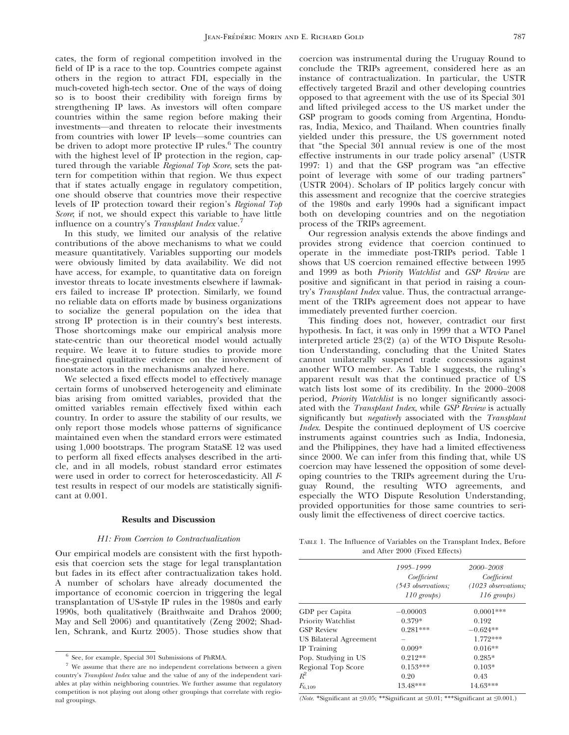cates, the form of regional competition involved in the field of IP is a race to the top. Countries compete against others in the region to attract FDI, especially in the much-coveted high-tech sector. One of the ways of doing so is to boost their credibility with foreign firms by strengthening IP laws. As investors will often compare countries within the same region before making their investments—and threaten to relocate their investments from countries with lower IP levels—some countries can be driven to adopt more protective IP rules. $6$  The country with the highest level of IP protection in the region, captured through the variable Regional Top Score, sets the pattern for competition within that region. We thus expect that if states actually engage in regulatory competition, one should observe that countries move their respective levels of IP protection toward their region's Regional Top Score; if not, we should expect this variable to have little influence on a country's Transplant Index value.<sup>7</sup>

In this study, we limited our analysis of the relative contributions of the above mechanisms to what we could measure quantitatively. Variables supporting our models were obviously limited by data availability. We did not have access, for example, to quantitative data on foreign investor threats to locate investments elsewhere if lawmakers failed to increase IP protection. Similarly, we found no reliable data on efforts made by business organizations to socialize the general population on the idea that strong IP protection is in their country's best interests. Those shortcomings make our empirical analysis more state-centric than our theoretical model would actually require. We leave it to future studies to provide more fine-grained qualitative evidence on the involvement of nonstate actors in the mechanisms analyzed here.

We selected a fixed effects model to effectively manage certain forms of unobserved heterogeneity and eliminate bias arising from omitted variables, provided that the omitted variables remain effectively fixed within each country. In order to assure the stability of our results, we only report those models whose patterns of significance maintained even when the standard errors were estimated using 1,000 bootstraps. The program StataSE 12 was used to perform all fixed effects analyses described in the article, and in all models, robust standard error estimates were used in order to correct for heteroscedasticity. All Ftest results in respect of our models are statistically significant at 0.001.

## Results and Discussion

#### H1: From Coercion to Contractualization

Our empirical models are consistent with the first hypothesis that coercion sets the stage for legal transplantation but fades in its effect after contractualization takes hold. A number of scholars have already documented the importance of economic coercion in triggering the legal transplantation of US-style IP rules in the 1980s and early 1990s, both qualitatively (Braithwaite and Drahos 2000; May and Sell 2006) and quantitatively (Zeng 2002; Shadlen, Schrank, and Kurtz 2005). Those studies show that

coercion was instrumental during the Uruguay Round to conclude the TRIPs agreement, considered here as an instance of contractualization. In particular, the USTR effectively targeted Brazil and other developing countries opposed to that agreement with the use of its Special 301 and lifted privileged access to the US market under the GSP program to goods coming from Argentina, Honduras, India, Mexico, and Thailand. When countries finally yielded under this pressure, the US government noted that "the Special 301 annual review is one of the most effective instruments in our trade policy arsenal" (USTR 1997: 1) and that the GSP program was "an effective point of leverage with some of our trading partners" (USTR 2004). Scholars of IP politics largely concur with this assessment and recognize that the coercive strategies of the 1980s and early 1990s had a significant impact both on developing countries and on the negotiation process of the TRIPs agreement.

Our regression analysis extends the above findings and provides strong evidence that coercion continued to operate in the immediate post-TRIPs period. Table 1 shows that US coercion remained effective between 1995 and 1999 as both Priority Watchlist and GSP Review are positive and significant in that period in raising a country's Transplant Index value. Thus, the contractual arrangement of the TRIPs agreement does not appear to have immediately prevented further coercion.

This finding does not, however, contradict our first hypothesis. In fact, it was only in 1999 that a WTO Panel interpreted article 23(2) (a) of the WTO Dispute Resolution Understanding, concluding that the United States cannot unilaterally suspend trade concessions against another WTO member. As Table 1 suggests, the ruling's apparent result was that the continued practice of US watch lists lost some of its credibility. In the 2000–2008 period, Priority Watchlist is no longer significantly associated with the *Transplant Index*, while GSP Review is actually significantly but *negatively* associated with the Transplant Index. Despite the continued deployment of US coercive instruments against countries such as India, Indonesia, and the Philippines, they have had a limited effectiveness since 2000. We can infer from this finding that, while US coercion may have lessened the opposition of some developing countries to the TRIPs agreement during the Uruguay Round, the resulting WTO agreements, and especially the WTO Dispute Resolution Understanding, provided opportunities for those same countries to seriously limit the effectiveness of direct coercive tactics.

TABLE 1. The Influence of Variables on the Transplant Index, Before and After 2000 (Fixed Effects)

|                        | 1995-1999<br>Coefficient<br>$(543$ observations;<br>$110$ groups) | 2000–2008<br>Coefficient<br>$(1023$ observations;<br>$116$ groups) |
|------------------------|-------------------------------------------------------------------|--------------------------------------------------------------------|
| GDP per Capita         | $-0.00003$                                                        | $0.0001***$                                                        |
| Priority Watchlist     | $0.379*$                                                          | 0.192                                                              |
| <b>GSP</b> Review      | $0.281***$                                                        | $-0.624**$                                                         |
| US Bilateral Agreement |                                                                   | 1.772***                                                           |
| IP Training            | $0.009*$                                                          | $0.016**$                                                          |
| Pop. Studying in US    | $0.212**$                                                         | $0.285*$                                                           |
| Regional Top Score     | $0.153***$                                                        | $0.103*$                                                           |
| $R^2$                  | 0.20                                                              | 0.43                                                               |
| $F_{6,109}$            | 13.48***                                                          | 14.63***                                                           |

(Note. \*Significant at ≤0.05; \*\*Significant at ≤0.01; \*\*\*Significant at ≤0.001.)

<sup>6</sup> See, for example, Special 301 Submissions of PhRMA.

<sup>7</sup> We assume that there are no independent correlations between a given country's Transplant Index value and the value of any of the independent variables at play within neighboring countries. We further assume that regulatory competition is not playing out along other groupings that correlate with regional groupings.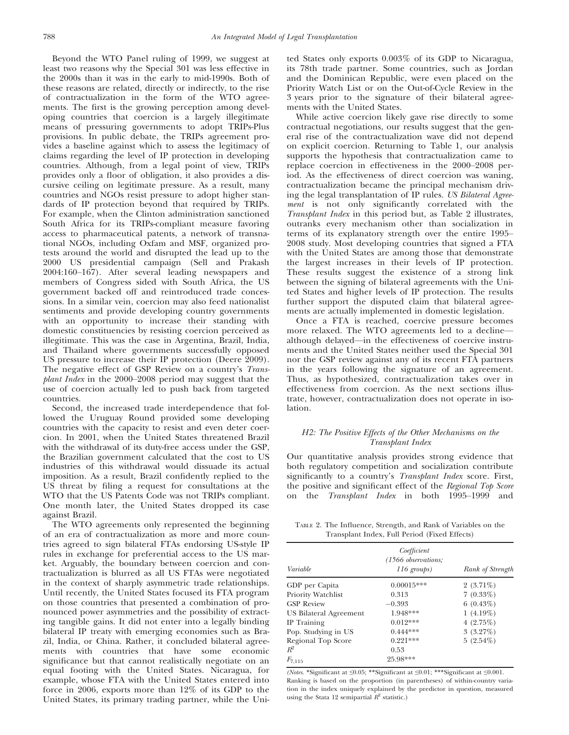Beyond the WTO Panel ruling of 1999, we suggest at least two reasons why the Special 301 was less effective in the 2000s than it was in the early to mid-1990s. Both of these reasons are related, directly or indirectly, to the rise of contractualization in the form of the WTO agreements. The first is the growing perception among developing countries that coercion is a largely illegitimate means of pressuring governments to adopt TRIPs-Plus provisions. In public debate, the TRIPs agreement provides a baseline against which to assess the legitimacy of claims regarding the level of IP protection in developing countries. Although, from a legal point of view, TRIPs provides only a floor of obligation, it also provides a discursive ceiling on legitimate pressure. As a result, many countries and NGOs resist pressure to adopt higher standards of IP protection beyond that required by TRIPs. For example, when the Clinton administration sanctioned South Africa for its TRIPs-compliant measure favoring access to pharmaceutical patents, a network of transnational NGOs, including Oxfam and MSF, organized protests around the world and disrupted the lead up to the 2000 US presidential campaign (Sell and Prakash 2004:160–167). After several leading newspapers and members of Congress sided with South Africa, the US government backed off and reintroduced trade concessions. In a similar vein, coercion may also feed nationalist sentiments and provide developing country governments with an opportunity to increase their standing with domestic constituencies by resisting coercion perceived as illegitimate. This was the case in Argentina, Brazil, India, and Thailand where governments successfully opposed US pressure to increase their IP protection (Deere 2009). The negative effect of GSP Review on a country's Transplant Index in the 2000–2008 period may suggest that the use of coercion actually led to push back from targeted countries.

Second, the increased trade interdependence that followed the Uruguay Round provided some developing countries with the capacity to resist and even deter coercion. In 2001, when the United States threatened Brazil with the withdrawal of its duty-free access under the GSP, the Brazilian government calculated that the cost to US industries of this withdrawal would dissuade its actual imposition. As a result, Brazil confidently replied to the US threat by filing a request for consultations at the WTO that the US Patents Code was not TRIPs compliant. One month later, the United States dropped its case against Brazil.

The WTO agreements only represented the beginning of an era of contractualization as more and more countries agreed to sign bilateral FTAs endorsing US-style IP rules in exchange for preferential access to the US market. Arguably, the boundary between coercion and contractualization is blurred as all US FTAs were negotiated in the context of sharply asymmetric trade relationships. Until recently, the United States focused its FTA program on those countries that presented a combination of pronounced power asymmetries and the possibility of extracting tangible gains. It did not enter into a legally binding bilateral IP treaty with emerging economies such as Brazil, India, or China. Rather, it concluded bilateral agreements with countries that have some economic significance but that cannot realistically negotiate on an equal footing with the United States. Nicaragua, for example, whose FTA with the United States entered into force in 2006, exports more than 12% of its GDP to the United States, its primary trading partner, while the United States only exports 0.003% of its GDP to Nicaragua, its 78th trade partner. Some countries, such as Jordan and the Dominican Republic, were even placed on the Priority Watch List or on the Out-of-Cycle Review in the 3 years prior to the signature of their bilateral agreements with the United States.

While active coercion likely gave rise directly to some contractual negotiations, our results suggest that the general rise of the contractualization wave did not depend on explicit coercion. Returning to Table 1, our analysis supports the hypothesis that contractualization came to replace coercion in effectiveness in the 2000–2008 period. As the effectiveness of direct coercion was waning, contractualization became the principal mechanism driving the legal transplantation of IP rules. US Bilateral Agreement is not only significantly correlated with the Transplant Index in this period but, as Table 2 illustrates, outranks every mechanism other than socialization in terms of its explanatory strength over the entire 1995– 2008 study. Most developing countries that signed a FTA with the United States are among those that demonstrate the largest increases in their levels of IP protection. These results suggest the existence of a strong link between the signing of bilateral agreements with the United States and higher levels of IP protection. The results further support the disputed claim that bilateral agreements are actually implemented in domestic legislation.

Once a FTA is reached, coercive pressure becomes more relaxed. The WTO agreements led to a decline although delayed—in the effectiveness of coercive instruments and the United States neither used the Special 301 nor the GSP review against any of its recent FTA partners in the years following the signature of an agreement. Thus, as hypothesized, contractualization takes over in effectiveness from coercion. As the next sections illustrate, however, contractualization does not operate in isolation.

## H2: The Positive Effects of the Other Mechanisms on the Transplant Index

Our quantitative analysis provides strong evidence that both regulatory competition and socialization contribute significantly to a country's Transplant Index score. First, the positive and significant effect of the Regional Top Score on the Transplant Index in both 1995–1999 and

TABLE 2. The Influence, Strength, and Rank of Variables on the Transplant Index, Full Period (Fixed Effects)

| Variable               | Coefficient<br>$(1566$ observations;<br>$116$ groups) | Rank of Strength |
|------------------------|-------------------------------------------------------|------------------|
| GDP per Capita         | $0.00015***$                                          | $2(3.71\%)$      |
| Priority Watchlist     | 0.313                                                 | $7(0.33\%)$      |
| <b>GSP Review</b>      | $-0.393$                                              | $6(0.43\%)$      |
| US Bilateral Agreement | $1.948***$                                            | $1(4.19\%)$      |
| IP Training            | $0.012***$                                            | $4(2.75\%)$      |
| Pop. Studying in US    | $0.444***$                                            | $3(3.27\%)$      |
| Regional Top Score     | $0.221***$                                            | $5(2.54\%)$      |
| $R^2$                  | 0.53                                                  |                  |
| $F_{7,115}$            | 25.98***                                              |                  |

(Notes. \*Significant at ≤0.05; \*\*Significant at ≤0.01; \*\*\*Significant at ≤0.001. Ranking is based on the proportion (in parentheses) of within-country variation in the index uniquely explained by the predictor in question, measured using the Stata 12 semipartial  $R^2$  statistic.)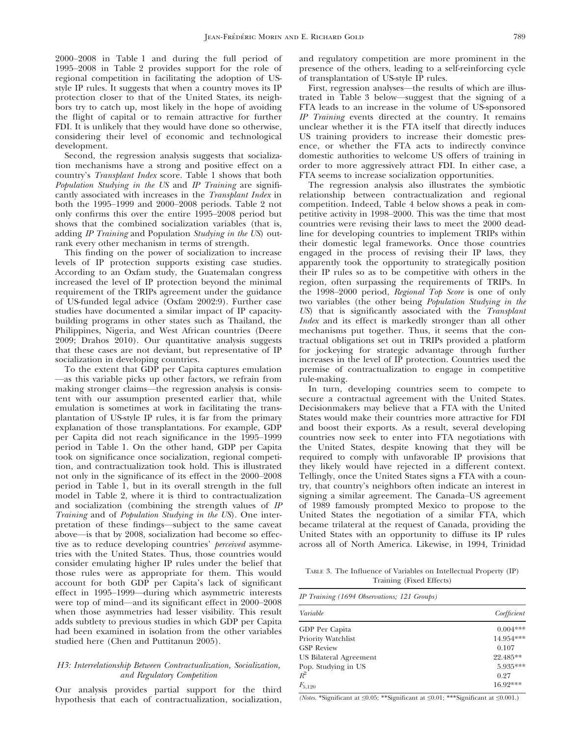2000–2008 in Table 1 and during the full period of 1995–2008 in Table 2 provides support for the role of regional competition in facilitating the adoption of USstyle IP rules. It suggests that when a country moves its IP protection closer to that of the United States, its neighbors try to catch up, most likely in the hope of avoiding the flight of capital or to remain attractive for further FDI. It is unlikely that they would have done so otherwise, considering their level of economic and technological development.

Second, the regression analysis suggests that socialization mechanisms have a strong and positive effect on a country's Transplant Index score. Table 1 shows that both Population Studying in the US and IP Training are significantly associated with increases in the Transplant Index in both the 1995–1999 and 2000–2008 periods. Table 2 not only confirms this over the entire 1995–2008 period but shows that the combined socialization variables (that is, adding IP Training and Population Studying in the US) outrank every other mechanism in terms of strength.

This finding on the power of socialization to increase levels of IP protection supports existing case studies. According to an Oxfam study, the Guatemalan congress increased the level of IP protection beyond the minimal requirement of the TRIPs agreement under the guidance of US-funded legal advice (Oxfam 2002:9). Further case studies have documented a similar impact of IP capacitybuilding programs in other states such as Thailand, the Philippines, Nigeria, and West African countries (Deere 2009; Drahos 2010). Our quantitative analysis suggests that these cases are not deviant, but representative of IP socialization in developing countries.

To the extent that GDP per Capita captures emulation —as this variable picks up other factors, we refrain from making stronger claims—the regression analysis is consistent with our assumption presented earlier that, while emulation is sometimes at work in facilitating the transplantation of US-style IP rules, it is far from the primary explanation of those transplantations. For example, GDP per Capita did not reach significance in the 1995–1999 period in Table 1. On the other hand, GDP per Capita took on significance once socialization, regional competition, and contractualization took hold. This is illustrated not only in the significance of its effect in the 2000–2008 period in Table 1, but in its overall strength in the full model in Table 2, where it is third to contractualization and socialization (combining the strength values of IP Training and of Population Studying in the US). One interpretation of these findings—subject to the same caveat above—is that by 2008, socialization had become so effective as to reduce developing countries' perceived asymmetries with the United States. Thus, those countries would consider emulating higher IP rules under the belief that those rules were as appropriate for them. This would account for both GDP per Capita's lack of significant effect in 1995–1999—during which asymmetric interests were top of mind—and its significant effect in 2000–2008 when those asymmetries had lesser visibility. This result adds subtlety to previous studies in which GDP per Capita had been examined in isolation from the other variables studied here (Chen and Puttitanun 2005).

## H3: Interrelationship Between Contractualization, Socialization, and Regulatory Competition

Our analysis provides partial support for the third hypothesis that each of contractualization, socialization, and regulatory competition are more prominent in the presence of the others, leading to a self-reinforcing cycle of transplantation of US-style IP rules.

First, regression analyses—the results of which are illustrated in Table 3 below—suggest that the signing of a FTA leads to an increase in the volume of US-sponsored IP Training events directed at the country. It remains unclear whether it is the FTA itself that directly induces US training providers to increase their domestic presence, or whether the FTA acts to indirectly convince domestic authorities to welcome US offers of training in order to more aggressively attract FDI. In either case, a FTA seems to increase socialization opportunities.

The regression analysis also illustrates the symbiotic relationship between contractualization and regional competition. Indeed, Table 4 below shows a peak in competitive activity in 1998–2000. This was the time that most countries were revising their laws to meet the 2000 deadline for developing countries to implement TRIPs within their domestic legal frameworks. Once those countries engaged in the process of revising their IP laws, they apparently took the opportunity to strategically position their IP rules so as to be competitive with others in the region, often surpassing the requirements of TRIPs. In the 1998–2000 period, Regional Top Score is one of only two variables (the other being Population Studying in the US) that is significantly associated with the Transplant Index and its effect is markedly stronger than all other mechanisms put together. Thus, it seems that the contractual obligations set out in TRIPs provided a platform for jockeying for strategic advantage through further increases in the level of IP protection. Countries used the premise of contractualization to engage in competitive rule-making.

In turn, developing countries seem to compete to secure a contractual agreement with the United States. Decisionmakers may believe that a FTA with the United States would make their countries more attractive for FDI and boost their exports. As a result, several developing countries now seek to enter into FTA negotiations with the United States, despite knowing that they will be required to comply with unfavorable IP provisions that they likely would have rejected in a different context. Tellingly, once the United States signs a FTA with a country, that country's neighbors often indicate an interest in signing a similar agreement. The Canada–US agreement of 1989 famously prompted Mexico to propose to the United States the negotiation of a similar FTA, which became trilateral at the request of Canada, providing the United States with an opportunity to diffuse its IP rules across all of North America. Likewise, in 1994, Trinidad

TABLE 3. The Influence of Variables on Intellectual Property (IP) Training (Fixed Effects)

|  |  |  | IP Training (1694 Observations; 121 Groups) |  |  |
|--|--|--|---------------------------------------------|--|--|
|--|--|--|---------------------------------------------|--|--|

| Variable               | Coefficient |
|------------------------|-------------|
| GDP Per Capita         | $0.004***$  |
| Priority Watchlist     | 14.954***   |
| <b>GSP</b> Review      | 0.107       |
| US Bilateral Agreement | 22.485**    |
| Pop. Studying in US    | 5.935***    |
| $R^2$                  | 0.27        |
| $F_{5.120}$            | 16.92***    |

(Notes. \*Significant at ≤0.05; \*\*Significant at ≤0.01; \*\*\*Significant at ≤0.001.)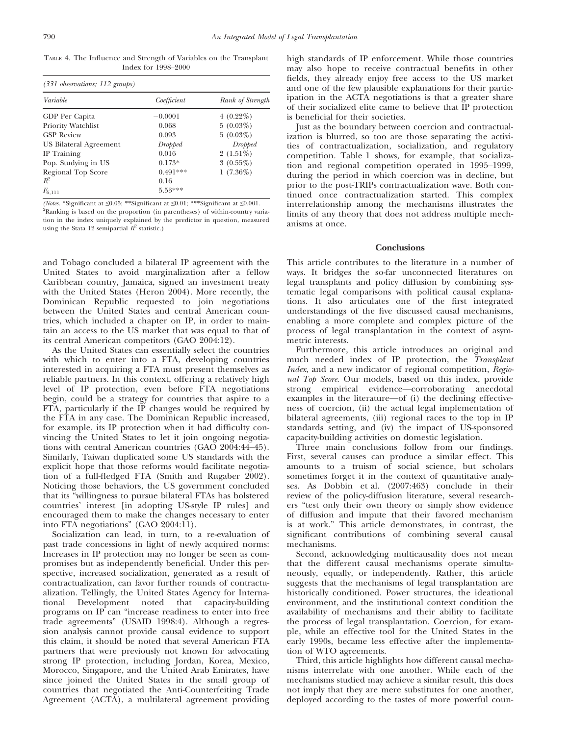TABLE 4. The Influence and Strength of Variables on the Transplant Index for 1998–2000

| $(331$ observations; 112 groups) |             |                  |  |
|----------------------------------|-------------|------------------|--|
| Variable                         | Coefficient | Rank of Strength |  |
| GDP Per Capita                   | $-0.0001$   | $4(0.22\%)$      |  |
| Priority Watchlist               | 0.068       | $5(0.03\%)$      |  |
| <b>GSP Review</b>                | 0.093       | $5(0.03\%)$      |  |
| US Bilateral Agreement           | Dropped     | Dropped          |  |
| IP Training                      | 0.016       | $2(1.51\%)$      |  |
| Pop. Studying in US              | $0.173*$    | $3(0.55\%)$      |  |
| Regional Top Score               | $0.491***$  | $1(7.36\%)$      |  |
| $R^2$                            | 0.16        |                  |  |
| $F_{6.111}$                      | 5.53***     |                  |  |

(Notes. \*Significant at ≤0.05; \*\*Significant at ≤0.01; \*\*\*Significant at ≤0.001. <sup>2</sup>Ranking is based on the proportion (in parentheses) of within-country variation in the index uniquely explained by the predictor in question, measured using the Stata 12 semipartial  $R^2$  statistic.)

and Tobago concluded a bilateral IP agreement with the United States to avoid marginalization after a fellow Caribbean country, Jamaica, signed an investment treaty with the United States (Heron 2004). More recently, the Dominican Republic requested to join negotiations between the United States and central American countries, which included a chapter on IP, in order to maintain an access to the US market that was equal to that of its central American competitors (GAO 2004:12).

As the United States can essentially select the countries with which to enter into a FTA, developing countries interested in acquiring a FTA must present themselves as reliable partners. In this context, offering a relatively high level of IP protection, even before FTA negotiations begin, could be a strategy for countries that aspire to a FTA, particularly if the IP changes would be required by the FTA in any case. The Dominican Republic increased, for example, its IP protection when it had difficulty convincing the United States to let it join ongoing negotiations with central American countries (GAO 2004:44–45). Similarly, Taiwan duplicated some US standards with the explicit hope that those reforms would facilitate negotiation of a full-fledged FTA (Smith and Rugaber 2002). Noticing those behaviors, the US government concluded that its "willingness to pursue bilateral FTAs has bolstered countries' interest [in adopting US-style IP rules] and encouraged them to make the changes necessary to enter into FTA negotiations" (GAO 2004:11).

Socialization can lead, in turn, to a re-evaluation of past trade concessions in light of newly acquired norms: Increases in IP protection may no longer be seen as compromises but as independently beneficial. Under this perspective, increased socialization, generated as a result of contractualization, can favor further rounds of contractualization. Tellingly, the United States Agency for International Development noted that capacity-building programs on IP can "increase readiness to enter into free trade agreements" (USAID 1998:4). Although a regression analysis cannot provide causal evidence to support this claim, it should be noted that several American FTA partners that were previously not known for advocating strong IP protection, including Jordan, Korea, Mexico, Morocco, Singapore, and the United Arab Emirates, have since joined the United States in the small group of countries that negotiated the Anti-Counterfeiting Trade Agreement (ACTA), a multilateral agreement providing high standards of IP enforcement. While those countries may also hope to receive contractual benefits in other fields, they already enjoy free access to the US market and one of the few plausible explanations for their participation in the ACTA negotiations is that a greater share of their socialized elite came to believe that IP protection is beneficial for their societies.

Just as the boundary between coercion and contractualization is blurred, so too are those separating the activities of contractualization, socialization, and regulatory competition. Table 1 shows, for example, that socialization and regional competition operated in 1995–1999, during the period in which coercion was in decline, but prior to the post-TRIPs contractualization wave. Both continued once contractualization started. This complex interrelationship among the mechanisms illustrates the limits of any theory that does not address multiple mechanisms at once.

## Conclusions

This article contributes to the literature in a number of ways. It bridges the so-far unconnected literatures on legal transplants and policy diffusion by combining systematic legal comparisons with political causal explanations. It also articulates one of the first integrated understandings of the five discussed causal mechanisms, enabling a more complete and complex picture of the process of legal transplantation in the context of asymmetric interests.

Furthermore, this article introduces an original and much needed index of IP protection, the Transplant Index, and a new indicator of regional competition, Regional Top Score. Our models, based on this index, provide strong empirical evidence—corroborating anecdotal examples in the literature—of (i) the declining effectiveness of coercion, (ii) the actual legal implementation of bilateral agreements, (iii) regional races to the top in IP standards setting, and (iv) the impact of US-sponsored capacity-building activities on domestic legislation.

Three main conclusions follow from our findings. First, several causes can produce a similar effect. This amounts to a truism of social science, but scholars sometimes forget it in the context of quantitative analyses. As Dobbin et al. (2007:463) conclude in their review of the policy-diffusion literature, several researchers "test only their own theory or simply show evidence of diffusion and impute that their favored mechanism is at work." This article demonstrates, in contrast, the significant contributions of combining several causal mechanisms.

Second, acknowledging multicausality does not mean that the different causal mechanisms operate simultaneously, equally, or independently. Rather, this article suggests that the mechanisms of legal transplantation are historically conditioned. Power structures, the ideational environment, and the institutional context condition the availability of mechanisms and their ability to facilitate the process of legal transplantation. Coercion, for example, while an effective tool for the United States in the early 1990s, became less effective after the implementation of WTO agreements.

Third, this article highlights how different causal mechanisms interrelate with one another. While each of the mechanisms studied may achieve a similar result, this does not imply that they are mere substitutes for one another, deployed according to the tastes of more powerful coun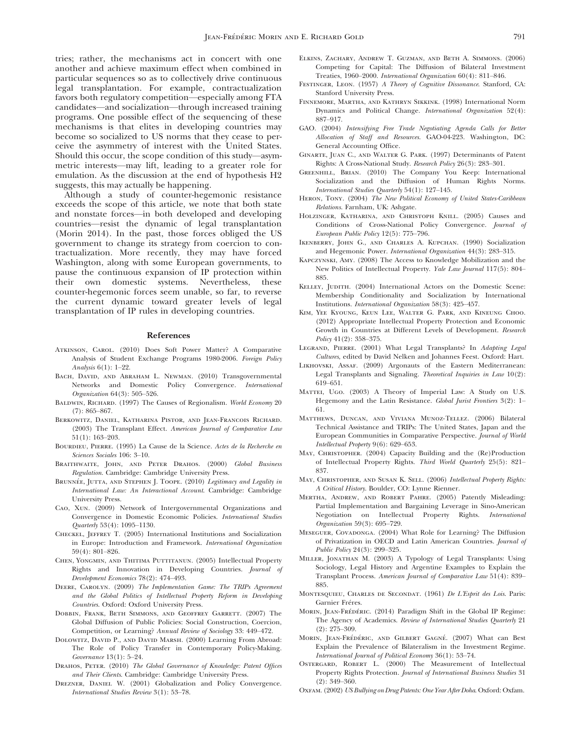tries; rather, the mechanisms act in concert with one another and achieve maximum effect when combined in particular sequences so as to collectively drive continuous legal transplantation. For example, contractualization favors both regulatory competition—especially among FTA candidates—and socialization—through increased training programs. One possible effect of the sequencing of these mechanisms is that elites in developing countries may become so socialized to US norms that they cease to perceive the asymmetry of interest with the United States. Should this occur, the scope condition of this study—asymmetric interests—may lift, leading to a greater role for emulation. As the discussion at the end of hypothesis H2 suggests, this may actually be happening.

Although a study of counter-hegemonic resistance exceeds the scope of this article, we note that both state and nonstate forces—in both developed and developing countries—resist the dynamic of legal transplantation (Morin 2014). In the past, those forces obliged the US government to change its strategy from coercion to contractualization. More recently, they may have forced Washington, along with some European governments, to pause the continuous expansion of IP protection within their own domestic systems. Nevertheless, these counter-hegemonic forces seem unable, so far, to reverse the current dynamic toward greater levels of legal transplantation of IP rules in developing countries.

#### References

- Atkinson, Carol. (2010) Does Soft Power Matter? A Comparative Analysis of Student Exchange Programs 1980-2006. Foreign Policy Analysis 6(1): 1–22.
- BACH, DAVID, AND ABRAHAM L. NEWMAN. (2010) Transgovernmental Networks and Domestic Policy Convergence. International Organization 64(3): 505–526.
- BALDWIN, RICHARD. (1997) The Causes of Regionalism. World Economy 20 (7): 865–867.
- Berkowitz, Daniel, Katharina Pistor, and Jean-Francois Richard. (2003) The Transplant Effect. American Journal of Comparative Law 51(1): 163–203.
- BOURDIEU, PIERRE. (1995) La Cause de la Science. Actes de la Recherche en Sciences Sociales 106: 3–10.
- BRAITHWAITE, JOHN, AND PETER DRAHOS. (2000) Global Business Regulation. Cambridge: Cambridge University Press.
- BRUNNÉE, JUTTA, AND STEPHEN J. TOOPE. (2010) Legitimacy and Legality in International Law: An Interactional Account. Cambridge: Cambridge University Press.
- Cao, Xun. (2009) Network of Intergovernmental Organizations and Convergence in Domestic Economic Policies. International Studies Quarterly 53(4): 1095–1130.
- Checkel, Jeffrey T. (2005) International Institutions and Socialization in Europe: Introduction and Framework. International Organization 59(4): 801–826.
- Chen, Yongmin, and Thitima Puttitanun. (2005) Intellectual Property Rights and Innovation in Developing Countries. Journal of Development Economics 78(2): 474–493.
- Deere, Carolyn. (2009) The Implementation Game: The TRIPs Agreement and the Global Politics of Intellectual Property Reform in Developing Countries. Oxford: Oxford University Press.
- Dobbin, Frank, Beth Simmons, and Geoffrey Garrett. (2007) The Global Diffusion of Public Policies: Social Construction, Coercion, Competition, or Learning? Annual Review of Sociology 33: 449–472.
- Dolowitz, David P., and David Marsh. (2000) Learning From Abroad: The Role of Policy Transfer in Contemporary Policy-Making. Governance 13(1): 5–24.
- DRAHOS, PETER. (2010) The Global Governance of Knowledge: Patent Offices and Their Clients. Cambridge: Cambridge University Press.
- Drezner, Daniel W. (2001) Globalization and Policy Convergence. International Studies Review 3(1): 53–78.
- Elkins, Zachary, Andrew T. Guzman, and Beth A. Simmons. (2006) Competing for Capital: The Diffusion of Bilateral Investment Treaties, 1960–2000. International Organization 60(4): 811–846.
- FESTINGER, LEON. (1957) A Theory of Cognitive Dissonance. Stanford, CA: Stanford University Press.
- Finnemore, Martha, and Kathryn Sikkink. (1998) International Norm Dynamics and Political Change. International Organization 52(4): 887–917.
- GAO. (2004) Intensifying Free Trade Negotiating Agenda Calls for Better Allocation of Staff and Resources. GAO-04-223. Washington, DC: General Accounting Office.
- Ginarte, Juan C., and Walter G. Park. (1997) Determinants of Patent Rights: A Cross-National Study. Research Policy 26(3): 283–301.
- Greenhill, Brian. (2010) The Company You Keep: International Socialization and the Diffusion of Human Rights Norms. International Studies Quarterly 54(1): 127–145.
- Heron, Tony. (2004) The New Political Economy of United States-Caribbean Relations. Farnham, UK: Ashgate.
- Holzinger, Katharina, and Christoph Knill. (2005) Causes and Conditions of Cross-National Policy Convergence. Journal of European Public Policy 12(5): 775–796.
- Ikenberry, John G., and Charles A. Kupchan. (1990) Socialization and Hegemonic Power. International Organization 44(3): 283–315.
- Kapczynski, Amy. (2008) The Access to Knowledge Mobilization and the New Politics of Intellectual Property. Yale Law Journal 117(5): 804– 885.
- KELLEY, JUDITH. (2004) International Actors on the Domestic Scene: Membership Conditionality and Socialization by International Institutions. International Organization 58(3): 425–457.
- Kim, Yee Kyoung, Keun Lee, Walter G. Park, and Kineung Choo. (2012) Appropriate Intellectual Property Protection and Economic Growth in Countries at Different Levels of Development. Research Policy 41(2): 358–375.
- LEGRAND, PIERRE. (2001) What Legal Transplants? In Adapting Legal Cultures, edited by David Nelken and Johannes Feest. Oxford: Hart.
- LIKHOVSKI, ASSAF. (2009) Argonauts of the Eastern Mediterranean: Legal Transplants and Signaling. Theoretical Inquiries in Law 10(2): 619–651.
- MATTEI, UGO. (2003) A Theory of Imperial Law: A Study on U.S. Hegemony and the Latin Resistance. Global Jurist Frontiers 3(2): 1– 61.
- Matthews, Duncan, and Viviana Munoz-Tellez. (2006) Bilateral Technical Assistance and TRIPs: The United States, Japan and the European Communities in Comparative Perspective. Journal of World Intellectual Property 9(6): 629–653.
- MAY, CHRISTOPHER. (2004) Capacity Building and the (Re)Production of Intellectual Property Rights. Third World Quarterly 25(5): 821– 837.
- MAY, CHRISTOPHER, AND SUSAN K. SELL. (2006) Intellectual Property Rights: A Critical History. Boulder, CO: Lynne Rienner.
- Mertha, Andrew, and Robert Pahre. (2005) Patently Misleading: Partial Implementation and Bargaining Leverage in Sino-American Negotiation on Intellectual Property Rights. International Organization 59(3): 695–729.
- Meseguer, Covadonga. (2004) What Role for Learning? The Diffusion of Privatization in OECD and Latin American Countries. Journal of Public Policy 24(3): 299–325.
- Miller, Jonathan M. (2003) A Typology of Legal Transplants: Using Sociology, Legal History and Argentine Examples to Explain the Transplant Process. American Journal of Comparative Law 51(4): 839– 885.
- Montesquieu, Charles de Secondat. (1961) De L'Esprit des Lois. Paris: Garnier Fréres.
- MORIN, JEAN-FRÉDÉRIC. (2014) Paradigm Shift in the Global IP Regime: The Agency of Academics. Review of International Studies Quarterly 21 (2): 275–309.
- MORIN, JEAN-FRÉDÉRIC, AND GILBERT GAGNÉ. (2007) What can Best Explain the Prevalence of Bilateralism in the Investment Regime. International Journal of Political Economy 36(1): 53–74.
- OSTERGARD, ROBERT L. (2000) The Measurement of Intellectual Property Rights Protection. Journal of International Business Studies 31 (2): 349–360.
- OXFAM. (2002) US Bullying on Drug Patents: One Year After Doha. Oxford: Oxfam.